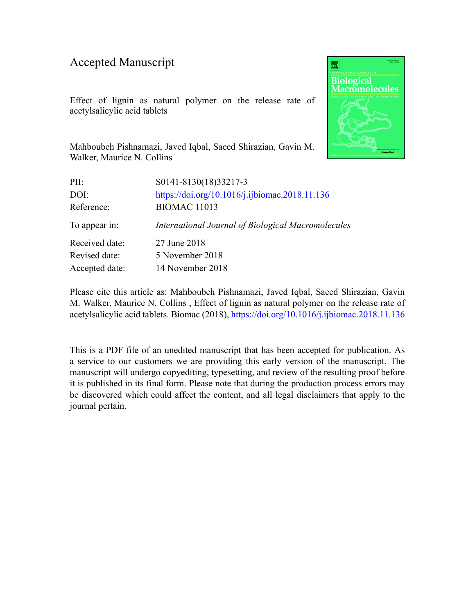### Accepted Manuscript

Effect of lignin as natural polymer on the release rate of acetylsalicylic acid tablets



Mahboubeh Pishnamazi, Javed Iqbal, Saeed Shirazian, Gavin M. Walker, Maurice N. Collins

| PII:           | S0141-8130(18)33217-3                              |
|----------------|----------------------------------------------------|
| DOI:           | https://doi.org/10.1016/j.ijbiomac.2018.11.136     |
| Reference:     | <b>BIOMAC 11013</b>                                |
| To appear in:  | International Journal of Biological Macromolecules |
| Received date: | 27 June 2018                                       |
| Revised date:  | 5 November 2018                                    |
| Accepted date: | 14 November 2018                                   |
|                |                                                    |

Please cite this article as: Mahboubeh Pishnamazi, Javed Iqbal, Saeed Shirazian, Gavin M. Walker, Maurice N. Collins , Effect of lignin as natural polymer on the release rate of acetylsalicylic acid tablets. Biomac (2018), <https://doi.org/10.1016/j.ijbiomac.2018.11.136>

This is a PDF file of an unedited manuscript that has been accepted for publication. As a service to our customers we are providing this early version of the manuscript. The manuscript will undergo copyediting, typesetting, and review of the resulting proof before it is published in its final form. Please note that during the production process errors may be discovered which could affect the content, and all legal disclaimers that apply to the journal pertain.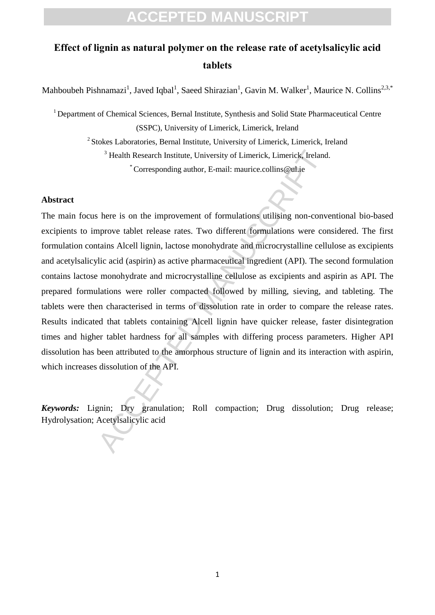### **Effect of lignin as natural polymer on the release rate of acetylsalicylic acid tablets**

Mahboubeh Pishnamazi<sup>1</sup>, Javed Iqbal<sup>1</sup>, Saeed Shirazian<sup>1</sup>, Gavin M. Walker<sup>1</sup>, Maurice N. Collins<sup>2,3,\*</sup>

<sup>1</sup> Department of Chemical Sciences, Bernal Institute, Synthesis and Solid State Pharmaceutical Centre (SSPC), University of Limerick, Limerick, Ireland <sup>2</sup> Stokes Laboratories, Bernal Institute, University of Limerick, Limerick, Ireland <sup>3</sup> Health Research Institute, University of Limerick, Limerick, Ireland. \*Corresponding author, E-mail: maurice.collins@ul.ie

#### **Abstract**

<sup>3</sup> Health Research Institute, University of Limerick, Limerick, Ireland<br>
<sup>4</sup> Corresponding author, E-mail: maurice.collins@ul.ie<br>
here is on the improvement of formulations utilising non-convent<br>
prove tablet release rate The main focus here is on the improvement of formulations utilising non-conventional bio-based excipients to improve tablet release rates. Two different formulations were considered. The first formulation contains Alcell lignin, lactose monohydrate and microcrystalline cellulose as excipients and acetylsalicylic acid (aspirin) as active pharmaceutical ingredient (API). The second formulation contains lactose monohydrate and microcrystalline cellulose as excipients and aspirin as API. The prepared formulations were roller compacted followed by milling, sieving, and tableting. The tablets were then characterised in terms of dissolution rate in order to compare the release rates. Results indicated that tablets containing Alcell lignin have quicker release, faster disintegration times and higher tablet hardness for all samples with differing process parameters. Higher API dissolution has been attributed to the amorphous structure of lignin and its interaction with aspirin, which increases dissolution of the API.

*Keywords:* Lignin; Dry granulation; Roll compaction; Drug dissolution; Drug release; Hydrolysation; Acetylsalicylic acid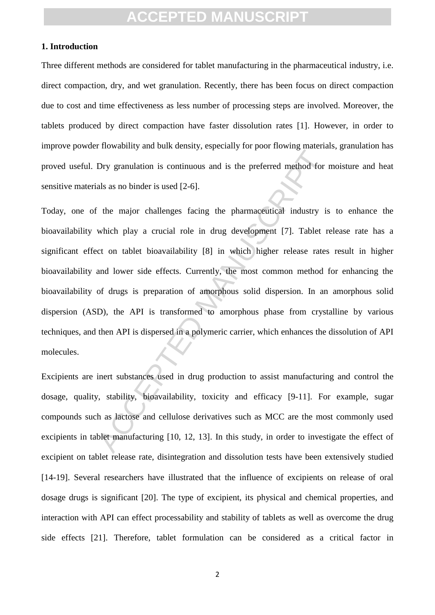#### **1. Introduction**

Three different methods are considered for tablet manufacturing in the pharmaceutical industry, i.e. direct compaction, dry, and wet granulation. Recently, there has been focus on direct compaction due to cost and time effectiveness as less number of processing steps are involved. Moreover, the tablets produced by direct compaction have faster dissolution rates [1]. However, in order to improve powder flowability and bulk density, especially for poor flowing materials, granulation has proved useful. Dry granulation is continuous and is the preferred method for moisture and heat sensitive materials as no binder is used [2-6].

The anti-terms of the terms of the preferred method for<br>als as no binder is used [2-6].<br>The major challenges facing the pharmaceutical industry is<br>which play a crucial role in drug development [7]. Tablet r<br>or on tablet bi Today, one of the major challenges facing the pharmaceutical industry is to enhance the bioavailability which play a crucial role in drug development [7]. Tablet release rate has a significant effect on tablet bioavailability [8] in which higher release rates result in higher bioavailability and lower side effects. Currently, the most common method for enhancing the bioavailability of drugs is preparation of amorphous solid dispersion. In an amorphous solid dispersion (ASD), the API is transformed to amorphous phase from crystalline by various techniques, and then API is dispersed in a polymeric carrier, which enhances the dissolution of API molecules.

Excipients are inert substances used in drug production to assist manufacturing and control the dosage, quality, stability, bioavailability, toxicity and efficacy [9-11]. For example, sugar compounds such as lactose and cellulose derivatives such as MCC are the most commonly used excipients in tablet manufacturing [10, 12, 13]. In this study, in order to investigate the effect of excipient on tablet release rate, disintegration and dissolution tests have been extensively studied [14-19]. Several researchers have illustrated that the influence of excipients on release of oral dosage drugs is significant [20]. The type of excipient, its physical and chemical properties, and interaction with API can effect processability and stability of tablets as well as overcome the drug side effects [21]. Therefore, tablet formulation can be considered as a critical factor in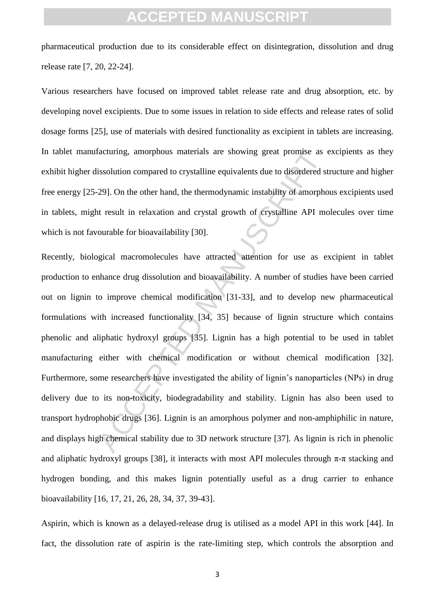pharmaceutical production due to its considerable effect on disintegration, dissolution and drug release rate [7, 20, 22-24].

Various researchers have focused on improved tablet release rate and drug absorption, etc. by developing novel excipients. Due to some issues in relation to side effects and release rates of solid dosage forms [25], use of materials with desired functionality as excipient in tablets are increasing. In tablet manufacturing, amorphous materials are showing great promise as excipients as they exhibit higher dissolution compared to crystalline equivalents due to disordered structure and higher free energy [25-29]. On the other hand, the thermodynamic instability of amorphous excipients used in tablets, might result in relaxation and crystal growth of crystalline API molecules over time which is not favourable for bioavailability [30].

facturing, amorphous materials are showing great promise as eissolution compared to crystalline equivalents due to disordered st 29). On the other hand, the thermodynamic instability of amorphot result in relaxation and cr Recently, biological macromolecules have attracted attention for use as excipient in tablet production to enhance drug dissolution and bioavailability. A number of studies have been carried out on lignin to improve chemical modification [31-33], and to develop new pharmaceutical formulations with increased functionality [34, 35] because of lignin structure which contains phenolic and aliphatic hydroxyl groups [35]. Lignin has a high potential to be used in tablet manufacturing either with chemical modification or without chemical modification [32]. Furthermore, some researchers have investigated the ability of lignin's nanoparticles (NPs) in drug delivery due to its non-toxicity, biodegradability and stability. Lignin has also been used to transport hydrophobic drugs [36]. Lignin is an amorphous polymer and non-amphiphilic in nature, and displays high chemical stability due to 3D network structure [37]. As lignin is rich in phenolic and aliphatic hydroxyl groups [38], it interacts with most API molecules through  $\pi$ - $\pi$  stacking and hydrogen bonding, and this makes lignin potentially useful as a drug carrier to enhance bioavailability [16, 17, 21, 26, 28, 34, 37, 39-43].

Aspirin, which is known as a delayed-release drug is utilised as a model API in this work [44]. In fact, the dissolution rate of aspirin is the rate-limiting step, which controls the absorption and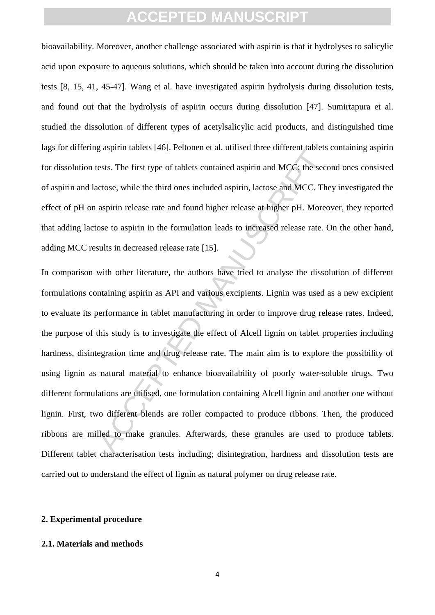bioavailability. Moreover, another challenge associated with aspirin is that it hydrolyses to salicylic acid upon exposure to aqueous solutions, which should be taken into account during the dissolution tests [8, 15, 41, 45-47]. Wang et al. have investigated aspirin hydrolysis during dissolution tests, and found out that the hydrolysis of aspirin occurs during dissolution [47]. Sumirtapura et al. studied the dissolution of different types of acetylsalicylic acid products, and distinguished time lags for differing aspirin tablets [46]. Peltonen et al. utilised three different tablets containing aspirin for dissolution tests. The first type of tablets contained aspirin and MCC; the second ones consisted of aspirin and lactose, while the third ones included aspirin, lactose and MCC. They investigated the effect of pH on aspirin release rate and found higher release at higher pH. Moreover, they reported that adding lactose to aspirin in the formulation leads to increased release rate. On the other hand, adding MCC results in decreased release rate [15].

Early a unitate and a state and a state and a content and the sections. The first type of tablets contained aspirin and MCC; the sections extists. The first type of tablets contained aspirin, lactose and MCC. The aspirin r In comparison with other literature, the authors have tried to analyse the dissolution of different formulations containing aspirin as API and various excipients. Lignin was used as a new excipient to evaluate its performance in tablet manufacturing in order to improve drug release rates. Indeed, the purpose of this study is to investigate the effect of Alcell lignin on tablet properties including hardness, disintegration time and drug release rate. The main aim is to explore the possibility of using lignin as natural material to enhance bioavailability of poorly water-soluble drugs. Two different formulations are utilised, one formulation containing Alcell lignin and another one without lignin. First, two different blends are roller compacted to produce ribbons. Then, the produced ribbons are milled to make granules. Afterwards, these granules are used to produce tablets. Different tablet characterisation tests including; disintegration, hardness and dissolution tests are carried out to understand the effect of lignin as natural polymer on drug release rate.

#### **2. Experimental procedure**

#### **2.1. Materials and methods**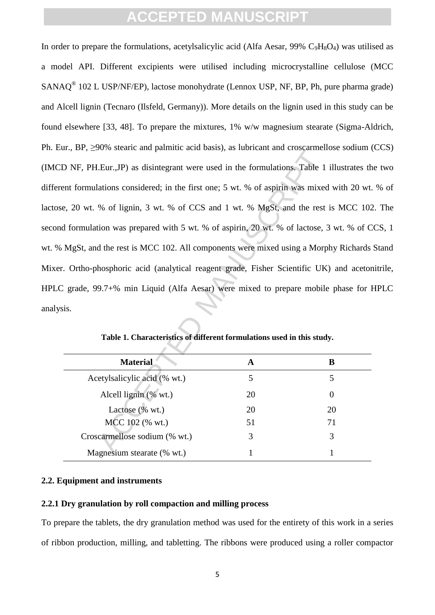LEur., JP) as disintegrant were used in the formulations. Table 1<br>LEur., JP) as disintegrant were used in the formulations. Table 1<br>lations considered; in the first one; 5 wt. % of aspirin was mixed<br>% of lignin, 3 wt. % o In order to prepare the formulations, acetylsalicylic acid (Alfa Aesar, 99%  $C_9H_8O_4$ ) was utilised as a model API. Different excipients were utilised including microcrystalline cellulose (MCC SANAQ<sup>®</sup> 102 L USP/NF/EP), lactose monohydrate (Lennox USP, NF, BP, Ph, pure pharma grade) and Alcell lignin (Tecnaro (Ilsfeld, Germany)). More details on the lignin used in this study can be found elsewhere [33, 48]. To prepare the mixtures, 1% w/w magnesium stearate (Sigma-Aldrich, Ph. Eur., BP, ≥90% stearic and palmitic acid basis), as lubricant and croscarmellose sodium (CCS) (IMCD NF, PH.Eur.,JP) as disintegrant were used in the formulations. Table 1 illustrates the two different formulations considered; in the first one; 5 wt. % of aspirin was mixed with 20 wt. % of lactose, 20 wt. % of lignin, 3 wt. % of CCS and 1 wt. % MgSt, and the rest is MCC 102. The second formulation was prepared with 5 wt. % of aspirin, 20 wt. % of lactose, 3 wt. % of CCS, 1 wt. % MgSt, and the rest is MCC 102. All components were mixed using a Morphy Richards Stand Mixer. Ortho-phosphoric acid (analytical reagent grade, Fisher Scientific UK) and acetonitrile, HPLC grade, 99.7+% min Liquid (Alfa Aesar) were mixed to prepare mobile phase for HPLC analysis.

| <b>Material</b>               |    | В        |  |
|-------------------------------|----|----------|--|
| Acetylsalicylic acid (% wt.)  |    |          |  |
| Alcell lignin (% wt.)         | 20 | $\theta$ |  |
| Lactose (% wt.)               | 20 | 20       |  |
| MCC 102 (% wt.)               | 51 | 71       |  |
| Croscarmellose sodium (% wt.) |    | 3        |  |
| Magnesium stearate (% wt.)    |    |          |  |

**Table 1. Characteristics of different formulations used in this study.**

#### **2.2. Equipment and instruments**

#### **2.2.1 Dry granulation by roll compaction and milling process**

To prepare the tablets, the dry granulation method was used for the entirety of this work in a series of ribbon production, milling, and tabletting. The ribbons were produced using a roller compactor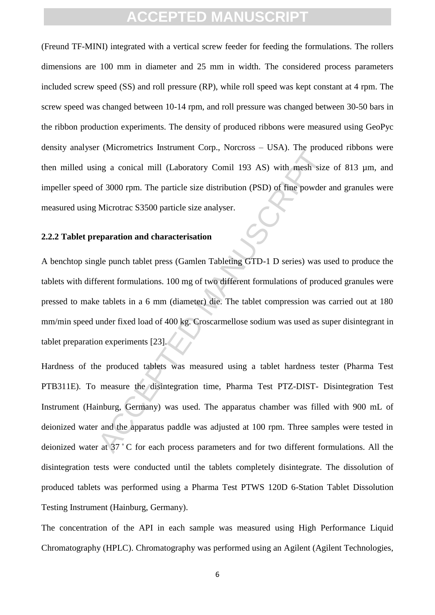(Freund TF-MINI) integrated with a vertical screw feeder for feeding the formulations. The rollers dimensions are 100 mm in diameter and 25 mm in width. The considered process parameters included screw speed (SS) and roll pressure (RP), while roll speed was kept constant at 4 rpm. The screw speed was changed between 10-14 rpm, and roll pressure was changed between 30-50 bars in the ribbon production experiments. The density of produced ribbons were measured using GeoPyc density analyser (Micrometrics Instrument Corp., Norcross – USA). The produced ribbons were then milled using a conical mill (Laboratory Comil 193 AS) with mesh size of 813 µm, and impeller speed of 3000 rpm. The particle size distribution (PSD) of fine powder and granules were measured using Microtrac S3500 particle size analyser.

#### **2.2.2 Tablet preparation and characterisation**

A benchtop single punch tablet press (Gamlen Tableting GTD-1 D series) was used to produce the tablets with different formulations. 100 mg of two different formulations of produced granules were pressed to make tablets in a 6 mm (diameter) die. The tablet compression was carried out at 180 mm/min speed under fixed load of 400 kg. Croscarmellose sodium was used as super disintegrant in tablet preparation experiments [23].

The parameters manufacture corp., reactors CSF, rice posts<br>and a conical mill (Laboratory Comil 193 AS) with mesh size<br>of 3000 rpm. The particle size distribution (PSD) of fine powder<br>Microtrac S3500 particle size analyser Hardness of the produced tablets was measured using a tablet hardness tester (Pharma Test PTB311E). To measure the disintegration time, Pharma Test PTZ-DIST- Disintegration Test Instrument (Hainburg, Germany) was used. The apparatus chamber was filled with 900 mL of deionized water and the apparatus paddle was adjusted at 100 rpm. Three samples were tested in deionized water at 37 ̊ C for each process parameters and for two different formulations. All the disintegration tests were conducted until the tablets completely disintegrate. The dissolution of produced tablets was performed using a Pharma Test PTWS 120D 6-Station Tablet Dissolution Testing Instrument (Hainburg, Germany).

The concentration of the API in each sample was measured using High Performance Liquid Chromatography (HPLC). Chromatography was performed using an Agilent (Agilent Technologies,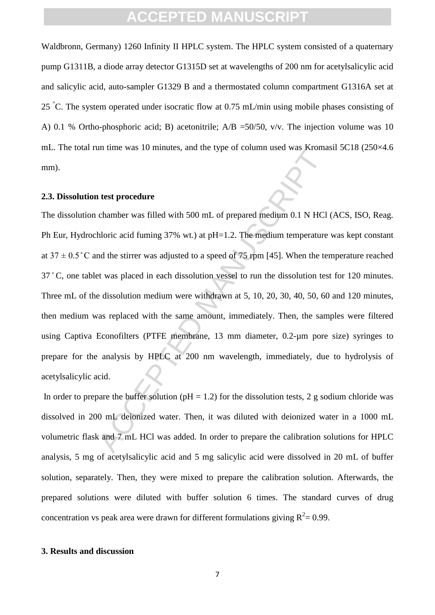Waldbronn, Germany) 1260 Infinity II HPLC system. The HPLC system consisted of a quaternary pump G1311B, a diode array detector G1315D set at wavelengths of 200 nm for acetylsalicylic acid and salicylic acid, auto-sampler G1329 B and a thermostated column compartment G1316A set at 25 °C. The system operated under isocratic flow at 0.75 mL/min using mobile phases consisting of A) 0.1 % Ortho-phosphoric acid; B) acetonitrile; A/B =50/50, v/v. The injection volume was 10 mL. The total run time was 10 minutes, and the type of column used was Kromasil 5C18 (250×4.6 mm).

#### **2.3. Dissolution test procedure**

**Example 12** that the sum of the sum of the sum of the sum of the sum of the sum of the sum of the sum of the sum of the sum of the sum of the sum of the sum of the sum of the sum of the sum of the sum of the sum of the s The dissolution chamber was filled with 500 mL of prepared medium 0.1 N HCl (ACS, ISO, Reag. Ph Eur, Hydrochloric acid fuming 37% wt.) at pH=1.2. The medium temperature was kept constant at  $37 \pm 0.5$  °C and the stirrer was adjusted to a speed of 75 rpm [45]. When the temperature reached 37 ̊ C, one tablet was placed in each dissolution vessel to run the dissolution test for 120 minutes. Three mL of the dissolution medium were withdrawn at 5, 10, 20, 30, 40, 50, 60 and 120 minutes, then medium was replaced with the same amount, immediately. Then, the samples were filtered using Captiva Econofilters (PTFE membrane, 13 mm diameter, 0.2-µm pore size) syringes to prepare for the analysis by HPLC at 200 nm wavelength, immediately, due to hydrolysis of acetylsalicylic acid.

In order to prepare the buffer solution ( $pH = 1.2$ ) for the dissolution tests, 2 g sodium chloride was dissolved in 200 mL deionized water. Then, it was diluted with deionized water in a 1000 mL volumetric flask and 7 mL HCl was added. In order to prepare the calibration solutions for HPLC analysis, 5 mg of acetylsalicylic acid and 5 mg salicylic acid were dissolved in 20 mL of buffer solution, separately. Then, they were mixed to prepare the calibration solution. Afterwards, the prepared solutions were diluted with buffer solution 6 times. The standard curves of drug concentration vs peak area were drawn for different formulations giving  $R^2 = 0.99$ .

#### **3. Results and discussion**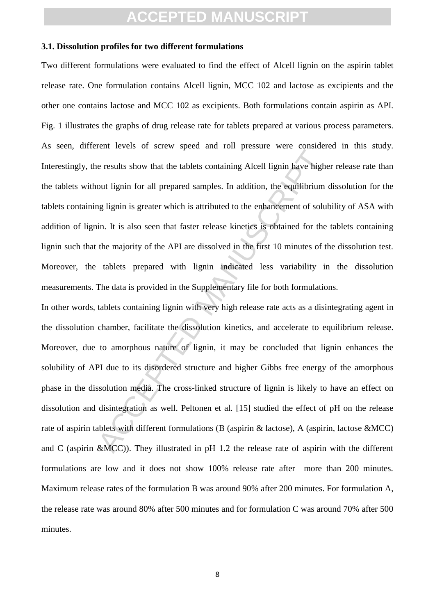#### **3.1. Dissolution profiles for two different formulations**

Two different formulations were evaluated to find the effect of Alcell lignin on the aspirin tablet release rate. One formulation contains Alcell lignin, MCC 102 and lactose as excipients and the other one contains lactose and MCC 102 as excipients. Both formulations contain aspirin as API. Fig. 1 illustrates the graphs of drug release rate for tablets prepared at various process parameters. As seen, different levels of screw speed and roll pressure were considered in this study. Interestingly, the results show that the tablets containing Alcell lignin have higher release rate than the tablets without lignin for all prepared samples. In addition, the equilibrium dissolution for the tablets containing lignin is greater which is attributed to the enhancement of solubility of ASA with addition of lignin. It is also seen that faster release kinetics is obtained for the tablets containing lignin such that the majority of the API are dissolved in the first 10 minutes of the dissolution test. Moreover, the tablets prepared with lignin indicated less variability in the dissolution measurements. The data is provided in the Supplementary file for both formulations.

The article of the state of the state of the state of the state of the state of the state of the state of the state of solution, the equilibrium and lignin is greater which is attributed to the enhancement of solution. It In other words, tablets containing lignin with very high release rate acts as a disintegrating agent in the dissolution chamber, facilitate the dissolution kinetics, and accelerate to equilibrium release. Moreover, due to amorphous nature of lignin, it may be concluded that lignin enhances the solubility of API due to its disordered structure and higher Gibbs free energy of the amorphous phase in the dissolution media. The cross-linked structure of lignin is likely to have an effect on dissolution and disintegration as well. Peltonen et al. [15] studied the effect of pH on the release rate of aspirin tablets with different formulations (B (aspirin & lactose), A (aspirin, lactose &MCC) and C (aspirin &MCC)). They illustrated in pH 1.2 the release rate of aspirin with the different formulations are low and it does not show 100% release rate after more than 200 minutes. Maximum release rates of the formulation B was around 90% after 200 minutes. For formulation A, the release rate was around 80% after 500 minutes and for formulation C was around 70% after 500 minutes.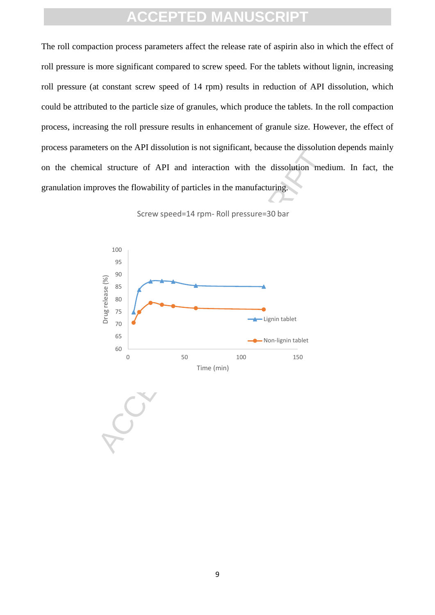The roll compaction process parameters affect the release rate of aspirin also in which the effect of roll pressure is more significant compared to screw speed. For the tablets without lignin, increasing roll pressure (at constant screw speed of 14 rpm) results in reduction of API dissolution, which could be attributed to the particle size of granules, which produce the tablets. In the roll compaction process, increasing the roll pressure results in enhancement of granule size. However, the effect of process parameters on the API dissolution is not significant, because the dissolution depends mainly on the chemical structure of API and interaction with the dissolution medium. In fact, the granulation improves the flowability of particles in the manufacturing.



Screw speed=14 rpm- Roll pressure=30 bar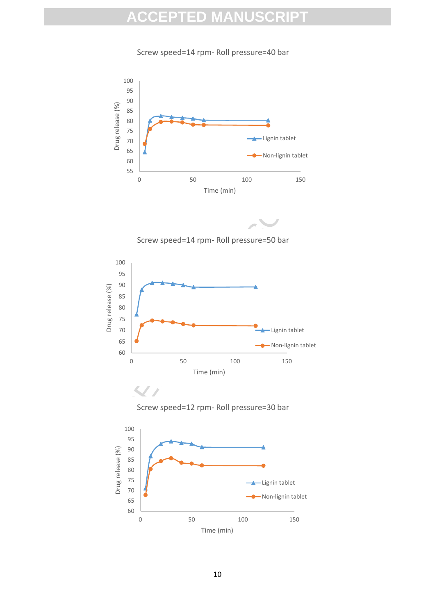Screw speed=14 rpm- Roll pressure=40 bar









Screw speed=12 rpm- Roll pressure=30 bar

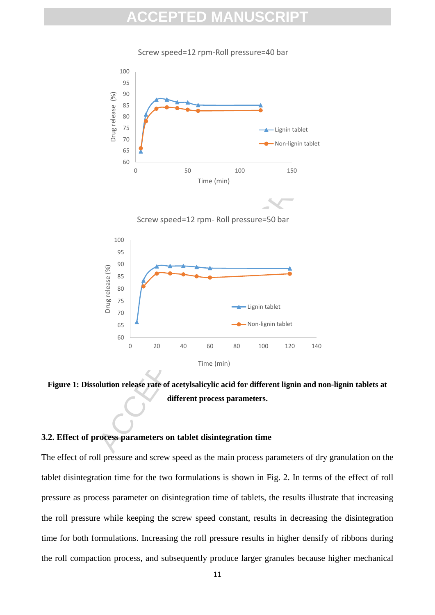Screw speed=12 rpm-Roll pressure=40 bar



**Figure 1: Dissolution release rate of acetylsalicylic acid for different lignin and non-lignin tablets at different process parameters.**

#### **3.2. Effect of process parameters on tablet disintegration time**

The effect of roll pressure and screw speed as the main process parameters of dry granulation on the tablet disintegration time for the two formulations is shown in Fig. 2. In terms of the effect of roll pressure as process parameter on disintegration time of tablets, the results illustrate that increasing the roll pressure while keeping the screw speed constant, results in decreasing the disintegration time for both formulations. Increasing the roll pressure results in higher densify of ribbons during the roll compaction process, and subsequently produce larger granules because higher mechanical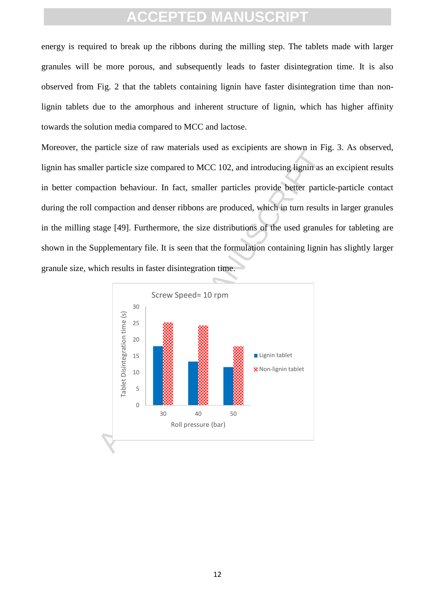energy is required to break up the ribbons during the milling step. The tablets made with larger granules will be more porous, and subsequently leads to faster disintegration time. It is also observed from Fig. 2 that the tablets containing lignin have faster disintegration time than nonlignin tablets due to the amorphous and inherent structure of lignin, which has higher affinity towards the solution media compared to MCC and lactose.

Moreover, the particle size of raw materials used as excipients are shown in Fig. 3. As observed, lignin has smaller particle size compared to MCC 102, and introducing lignin as an excipient results in better compaction behaviour. In fact, smaller particles provide better particle-particle contact during the roll compaction and denser ribbons are produced, which in turn results in larger granules in the milling stage [49]. Furthermore, the size distributions of the used granules for tableting are shown in the Supplementary file. It is seen that the formulation containing lignin has slightly larger granule size, which results in faster disintegration time.

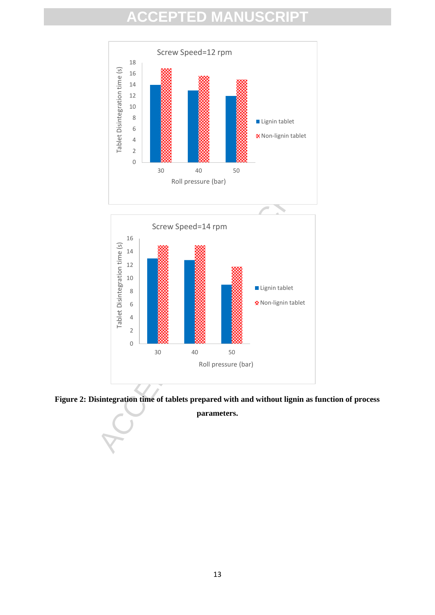

**Figure 2: Disintegration time of tablets prepared with and without lignin as function of process** 

**parameters.**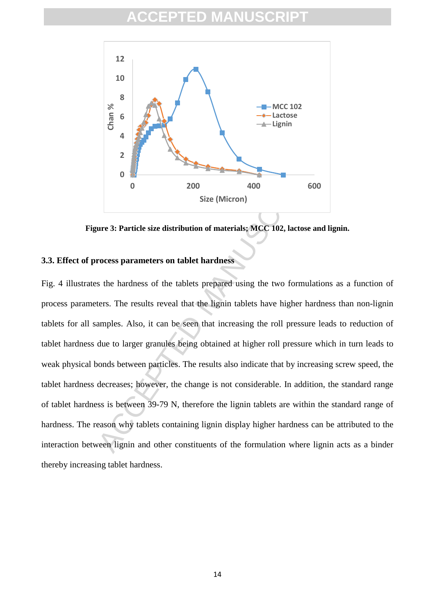

**Figure 3: Particle size distribution of materials; MCC 102, lactose and lignin.**

#### **3.3. Effect of process parameters on tablet hardness**

2<br>
0<br>
0<br>
0<br>
200<br>
5 are (Micron)<br>
9<br>
1 are 3: Particle size distribution of materials; MCC 102, lactose and locates are 3: Particle size distribution of materials; MCC 102, lactose and locates process parameters on tablet h Fig. 4 illustrates the hardness of the tablets prepared using the two formulations as a function of process parameters. The results reveal that the lignin tablets have higher hardness than non-lignin tablets for all samples. Also, it can be seen that increasing the roll pressure leads to reduction of tablet hardness due to larger granules being obtained at higher roll pressure which in turn leads to weak physical bonds between particles. The results also indicate that by increasing screw speed, the tablet hardness decreases; however, the change is not considerable. In addition, the standard range of tablet hardness is between 39-79 N, therefore the lignin tablets are within the standard range of hardness. The reason why tablets containing lignin display higher hardness can be attributed to the interaction between lignin and other constituents of the formulation where lignin acts as a binder thereby increasing tablet hardness.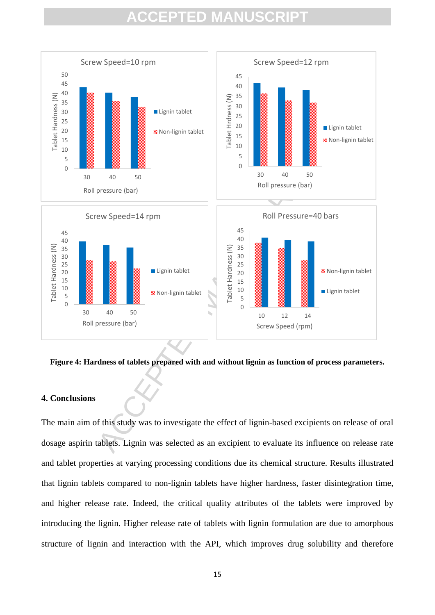

**Figure 4: Hardness of tablets prepared with and without lignin as function of process parameters.**

#### **4. Conclusions**

The main aim of this study was to investigate the effect of lignin-based excipients on release of oral dosage aspirin tablets. Lignin was selected as an excipient to evaluate its influence on release rate and tablet properties at varying processing conditions due its chemical structure. Results illustrated that lignin tablets compared to non-lignin tablets have higher hardness, faster disintegration time, and higher release rate. Indeed, the critical quality attributes of the tablets were improved by introducing the lignin. Higher release rate of tablets with lignin formulation are due to amorphous structure of lignin and interaction with the API, which improves drug solubility and therefore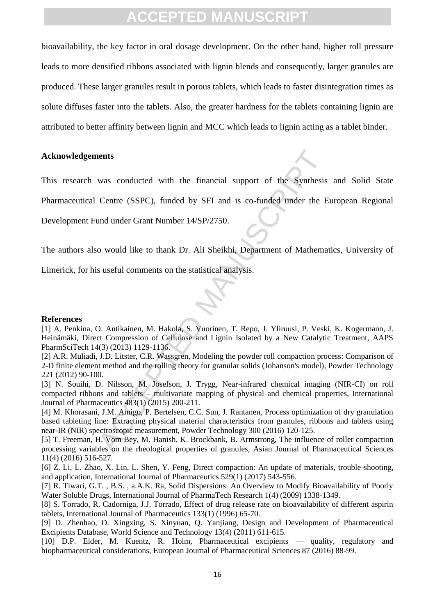bioavailability, the key factor in oral dosage development. On the other hand, higher roll pressure leads to more densified ribbons associated with lignin blends and consequently, larger granules are produced. These larger granules result in porous tablets, which leads to faster disintegration times as solute diffuses faster into the tablets. Also, the greater hardness for the tablets containing lignin are attributed to better affinity between lignin and MCC which leads to lignin acting as a tablet binder.

#### **Acknowledgements**

This research was conducted with the financial support of the Synthesis and Solid State

Pharmaceutical Centre (SSPC), funded by SFI and is co-funded under the European Regional

Development Fund under Grant Number 14/SP/2750.

The authors also would like to thank Dr. Ali Sheikhi, Department of Mathematics, University of

Limerick, for his useful comments on the statistical analysis.

#### **References**

[1] A. Penkina, O. Antikainen, M. Hakola, S. Vuorinen, T. Repo, J. Yliruusi, P. Veski, K. Kogermann, J. Heinämäki, Direct Compression of Cellulose and Lignin Isolated by a New Catalytic Treatment, AAPS PharmSciTech 14(3) (2013) 1129-1136.

[2] A.R. Muliadi, J.D. Litster, C.R. Wassgren, Modeling the powder roll compaction process: Comparison of 2-D finite element method and the rolling theory for granular solids (Johanson's model), Powder Technology 221 (2012) 90-100.

nents<br>
was conducted with the financial support of the Synthesis<br>
Centre (SSPC), funded by SFI and is co-funded under the E<br>
und under Grant Number 14/SP/2750.<br>
o would like to thank Dr. Ali Sheikhi, Department of Mathema<br> [3] N. Souihi, D. Nilsson, M. Josefson, J. Trygg, Near-infrared chemical imaging (NIR-CI) on roll compacted ribbons and tablets – multivariate mapping of physical and chemical properties, International Journal of Pharmaceutics 483(1) (2015) 200-211.

[4] M. Khorasani, J.M. Amigo, P. Bertelsen, C.C. Sun, J. Rantanen, Process optimization of dry granulation based tableting line: Extracting physical material characteristics from granules, ribbons and tablets using near-IR (NIR) spectroscopic measurement, Powder Technology 300 (2016) 120-125.

[5] T. Freeman, H. Vom Bey, M. Hanish, K. Brockbank, B. Armstrong, The influence of roller compaction processing variables on the rheological properties of granules, Asian Journal of Pharmaceutical Sciences 11(4) (2016) 516-527.

[6] Z. Li, L. Zhao, X. Lin, L. Shen, Y. Feng, Direct compaction: An update of materials, trouble-shooting, and application, International Journal of Pharmaceutics 529(1) (2017) 543-556.

[7] R. Tiwari, G.T. , B.S. , a.A.K. Ra, Solid Dispersions: An Overview to Modify Bioavailability of Poorly Water Soluble Drugs, International Journal of PharmaTech Research 1(4) (2009) 1338-1349.

[8] S. Torrado, R. Cadorniga, J.J. Torrado, Effect of drug release rate on bioavailability of different aspirin tablets, International Journal of Pharmaceutics 133(1) (1996) 65-70.

[9] D. Zhenhao, D. Xingxing, S. Xinyuan, Q. Yanjiang, Design and Development of Pharmaceutical Excipients Database, World Science and Technology 13(4) (2011) 611-615.

[10] D.P. Elder, M. Kuentz, R. Holm, Pharmaceutical excipients — quality, regulatory and biopharmaceutical considerations, European Journal of Pharmaceutical Sciences 87 (2016) 88-99.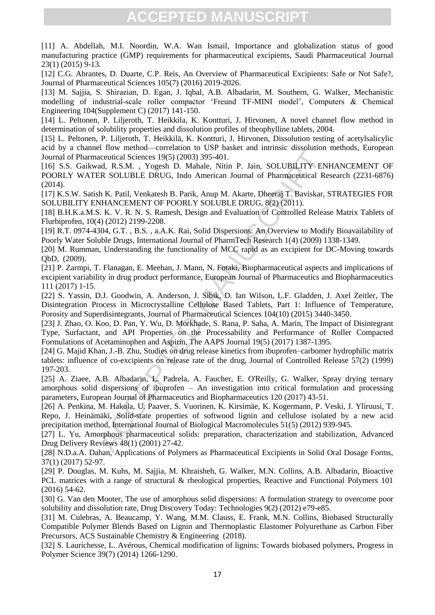[11] A. Abdellah, M.I. Noordin, W.A. Wan Ismail, Importance and globalization status of good manufacturing practice (GMP) requirements for pharmaceutical excipients, Saudi Pharmaceutical Journal 23(1) (2015) 9-13.

[12] C.G. Abrantes, D. Duarte, C.P. Reis, An Overview of Pharmaceutical Excipients: Safe or Not Safe?, Journal of Pharmaceutical Sciences 105(7) (2016) 2019-2026.

[13] M. Sajjia, S. Shirazian, D. Egan, J. Iqbal, A.B. Albadarin, M. Southern, G. Walker, Mechanistic modelling of industrial-scale roller compactor 'Freund TF-MINI model', Computers & Chemical Engineering 104(Supplement C) (2017) 141-150.

[14] L. Peltonen, P. Liljeroth, T. Heikkila, K. Kontturi, J. Hirvonen, A novel channel flow method in determination of solubility properties and dissolution profiles of theophylline tablets, 2004.

[15] L. Peltonen, P. Liljeroth, T. Heikkilä, K. Kontturi, J. Hirvonen, Dissolution testing of acetylsalicylic acid by a channel flow method—correlation to USP basket and intrinsic dissolution methods, European Journal of Pharmaceutical Sciences 19(5) (2003) 395-401.

[16] S.S. Gaikwad, R.S.M., Yogesh D. Mahale, Nitin P. Jain, SOLUBILITY ENHANCEMENT OF POORLY WATER SOLUBLE DRUG, Indo American Journal of Pharmaceutical Research (2231-6876) (2014).

[17] K.S.W. Satish K. Patil, Venkatesh B. Parik, Anup M. Akarte, Dheeraj T. Baviskar, STRATEGIES FOR SOLUBILITY ENHANCEMENT OF POORLY SOLUBLE DRUG, 8(2) (2011).

[18] B.H.K.a.M.S. K. V. R. N. S. Ramesh, Design and Evaluation of Controlled Release Matrix Tablets of Flurbiprofen, 10(4) (2012) 2199-2208.

[19] R.T. 0974-4304, G.T. , B.S. , a.A.K. Rai, Solid Dispersions: An Overview to Modify Bioavailability of Poorly Water Soluble Drugs, International Journal of PharmTech Research 1(4) (2009) 1338-1349.

[20] M. Rumman, Understanding the functionality of MCC rapid as an excipient for DC-Moving towards QbD, (2009).

[21] P. Zarmpi, T. Flanagan, E. Meehan, J. Mann, N. Fotaki, Biopharmaceutical aspects and implications of excipient variability in drug product performance, European Journal of Pharmaceutics and Biopharmaceutics 111 (2017) 1-15.

[22] S. Yassin, D.J. Goodwin, A. Anderson, J. Sibik, D. Ian Wilson, L.F. Gladden, J. Axel Zeitler, The Disintegration Process in Microcrystalline Cellulose Based Tablets, Part 1: Influence of Temperature, Porosity and Superdisintegrants, Journal of Pharmaceutical Sciences 104(10) (2015) 3440-3450.

[23] J. Zhao, O. Koo, D. Pan, Y. Wu, D. Morkhade, S. Rana, P. Saha, A. Marin, The Impact of Disintegrant Type, Surfactant, and API Properties on the Processability and Performance of Roller Compacted Formulations of Acetaminophen and Aspirin, The AAPS Journal 19(5) (2017) 1387-1395.

[24] G. Majid Khan, J.-B. Zhu, Studies on drug release kinetics from ibuprofen–carbomer hydrophilic matrix tablets: influence of co-excipients on release rate of the drug, Journal of Controlled Release 57(2) (1999) 197-203.

riano metrical concretation of our other dealing and a R.B.M., Nogesh D. Mahale, Nitin P. Jain, SOLUBILTTY EN<br>acculted Sciences 19(5) (2003) 395-401.<br>ad, R.S.M., Yogesh D. Mahale, Nitin P. Jain, SOLUBILITY EN<br>ad, R.S.M., Y [25] A. Ziaee, A.B. Albadarin, L. Padrela, A. Faucher, E. O'Reilly, G. Walker, Spray drying ternary amorphous solid dispersions of ibuprofen – An investigation into critical formulation and processing parameters, European Journal of Pharmaceutics and Biopharmaceutics 120 (2017) 43-51.

[26] A. Penkina, M. Hakola, U. Paaver, S. Vuorinen, K. Kirsimäe, K. Kogermann, P. Veski, J. Yliruusi, T. Repo, J. Heinämäki, Solid-state properties of softwood lignin and cellulose isolated by a new acid precipitation method, International Journal of Biological Macromolecules 51(5) (2012) 939-945.

[27] L. Yu, Amorphous pharmaceutical solids: preparation, characterization and stabilization, Advanced Drug Delivery Reviews 48(1) (2001) 27-42.

[28] N.D.a.A. Dahan, Applications of Polymers as Pharmaceutical Excipients in Solid Oral Dosage Forms, 37(1) (2017) 52-97.

[29] P. Douglas, M. Kuhs, M. Sajjia, M. Khraisheh, G. Walker, M.N. Collins, A.B. Albadarin, Bioactive PCL matrices with a range of structural & rheological properties, Reactive and Functional Polymers 101 (2016) 54-62.

[30] G. Van den Mooter, The use of amorphous solid dispersions: A formulation strategy to overcome poor solubility and dissolution rate, Drug Discovery Today: Technologies 9(2) (2012) e79-e85.

[31] M. Culebras, A. Beaucamp, Y. Wang, M.M. Clauss, E. Frank, M.N. Collins, Biobased Structurally Compatible Polymer Blends Based on Lignin and Thermoplastic Elastomer Polyurethane as Carbon Fiber Precursors, ACS Sustainable Chemistry & Engineering (2018).

[32] S. Laurichesse, L. Avérous, Chemical modification of lignins: Towards biobased polymers, Progress in Polymer Science 39(7) (2014) 1266-1290.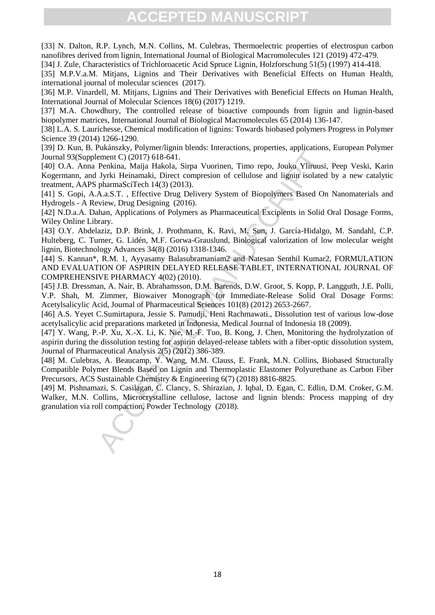[33] N. Dalton, R.P. Lynch, M.N. Collins, M. Culebras, Thermoelectric properties of electrospun carbon nanofibres derived from lignin, International Journal of Biological Macromolecules 121 (2019) 472-479.

[34] J. Zule, Characteristics of Trichloroacetic Acid Spruce Lignin, Holzforschung 51(5) (1997) 414-418.

[35] M.P.V.a.M. Mitjans, Lignins and Their Derivatives with Beneficial Effects on Human Health, international journal of molecular sciences (2017).

[36] M.P. Vinardell, M. Mitjans, Lignins and Their Derivatives with Beneficial Effects on Human Health. International Journal of Molecular Sciences 18(6) (2017) 1219.

[37] M.A. Chowdhury, The controlled release of bioactive compounds from lignin and lignin-based biopolymer matrices, International Journal of Biological Macromolecules 65 (2014) 136-147.

[38] L.A. S. Laurichesse, Chemical modification of lignins: Towards biobased polymers Progress in Polymer Science 39 (2014) 1266-1290.

[39] D. Kun, B. Pukánszky, Polymer/lignin blends: Interactions, properties, applications, European Polymer Journal 93(Supplement C) (2017) 618-641.

[40] O.A. Anna Penkina, Maija Hakola, Sirpa Vuorinen, Timo repo, Jouko Yliruusi, Peep Veski, Karin Kogermann, and Jyrki Heinamaki, Direct compresion of cellulose and lignin isolated by a new catalytic treatment, AAPS pharmaSciTech 14(3) (2013).

[41] S. Gopi, A.A.a.S.T. , Effective Drug Delivery System of Biopolymers Based On Nanomaterials and Hydrogels - A Review, Drug Designing (2016).

[42] N.D.a.A. Dahan, Applications of Polymers as Pharmaceutical Excipients in Solid Oral Dosage Forms, Wiley Online Library.

[43] O.Y. Abdelaziz, D.P. Brink, J. Prothmann, K. Ravi, M. Sun, J. García-Hidalgo, M. Sandahl, C.P. Hulteberg, C. Turner, G. Lidén, M.F. Gorwa-Grauslund, Biological valorization of low molecular weight lignin, Biotechnology Advances 34(8) (2016) 1318-1346.

Vaxample Batalach, Toylor Theory, 100 and Man and Constant C(2017) 618-641.<br>
Tennit C) (2017) 618-641.<br>
Penkina, Maja Hakola, Sirpa Vuorinen, Timo repo, Jouko Yliiruusi,<br>
Penkina, Maja Hakola, Sirpa Vuorinen, Timo repo, Jo [44] S. Kannan\*, R.M. 1, Ayyasamy Balasubramaniam2 and Natesan Senthil Kumar2, FORMULATION AND EVALUATION OF ASPIRIN DELAYED RELEASE TABLET, INTERNATIONAL JOURNAL OF COMPREHENSIVE PHARMACY 4(02) (2010).

[45] J.B. Dressman, A. Nair, B. Abrahamsson, D.M. Barends, D.W. Groot, S. Kopp, P. Langguth, J.E. Polli, V.P. Shah, M. Zimmer, Biowaiver Monograph for Immediate-Release Solid Oral Dosage Forms: Acetylsalicylic Acid, Journal of Pharmaceutical Sciences 101(8) (2012) 2653-2667.

[46] A.S. Yeyet C.Sumirtapura, Jessie S. Pamudji, Heni Rachmawati., Dissolution test of various low-dose acetylsalicylic acid preparations marketed in Indonesia, Medical Journal of Indonesia 18 (2009).

[47] Y. Wang, P.-P. Xu, X.-X. Li, K. Nie, M.-F. Tuo, B. Kong, J. Chen, Monitoring the hydrolyzation of aspirin during the dissolution testing for aspirin delayed-release tablets with a fiber-optic dissolution system, Journal of Pharmaceutical Analysis 2(5) (2012) 386-389.

[48] M. Culebras, A. Beaucamp, Y. Wang, M.M. Clauss, E. Frank, M.N. Collins, Biobased Structurally Compatible Polymer Blends Based on Lignin and Thermoplastic Elastomer Polyurethane as Carbon Fiber Precursors, ACS Sustainable Chemistry & Engineering 6(7) (2018) 8816-8825.

[49] M. Pishnamazi, S. Casilagan, C. Clancy, S. Shirazian, J. Iqbal, D. Egan, C. Edlin, D.M. Croker, G.M. Walker, M.N. Collins, Microcrystalline cellulose, lactose and lignin blends: Process mapping of dry granulation via roll compaction, Powder Technology (2018).

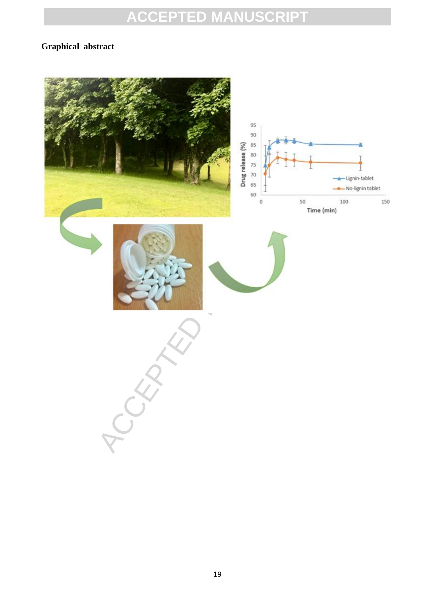### **Graphical abstract**